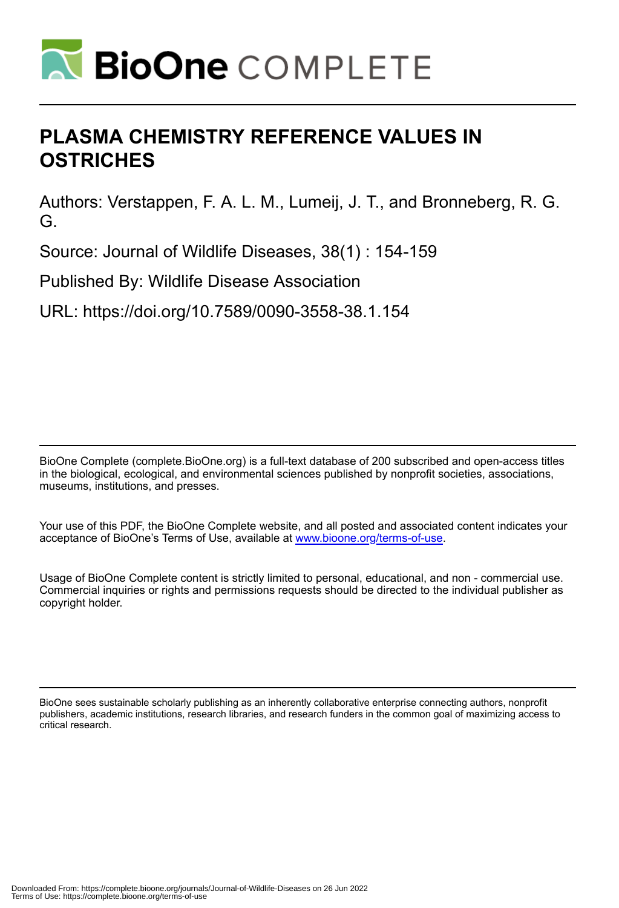

# **PLASMA CHEMISTRY REFERENCE VALUES IN OSTRICHES**

Authors: Verstappen, F. A. L. M., Lumeij, J. T., and Bronneberg, R. G. G.

Source: Journal of Wildlife Diseases, 38(1) : 154-159

Published By: Wildlife Disease Association

URL: https://doi.org/10.7589/0090-3558-38.1.154

BioOne Complete (complete.BioOne.org) is a full-text database of 200 subscribed and open-access titles in the biological, ecological, and environmental sciences published by nonprofit societies, associations, museums, institutions, and presses.

Your use of this PDF, the BioOne Complete website, and all posted and associated content indicates your acceptance of BioOne's Terms of Use, available at www.bioone.org/terms-of-use.

Usage of BioOne Complete content is strictly limited to personal, educational, and non - commercial use. Commercial inquiries or rights and permissions requests should be directed to the individual publisher as copyright holder.

BioOne sees sustainable scholarly publishing as an inherently collaborative enterprise connecting authors, nonprofit publishers, academic institutions, research libraries, and research funders in the common goal of maximizing access to critical research.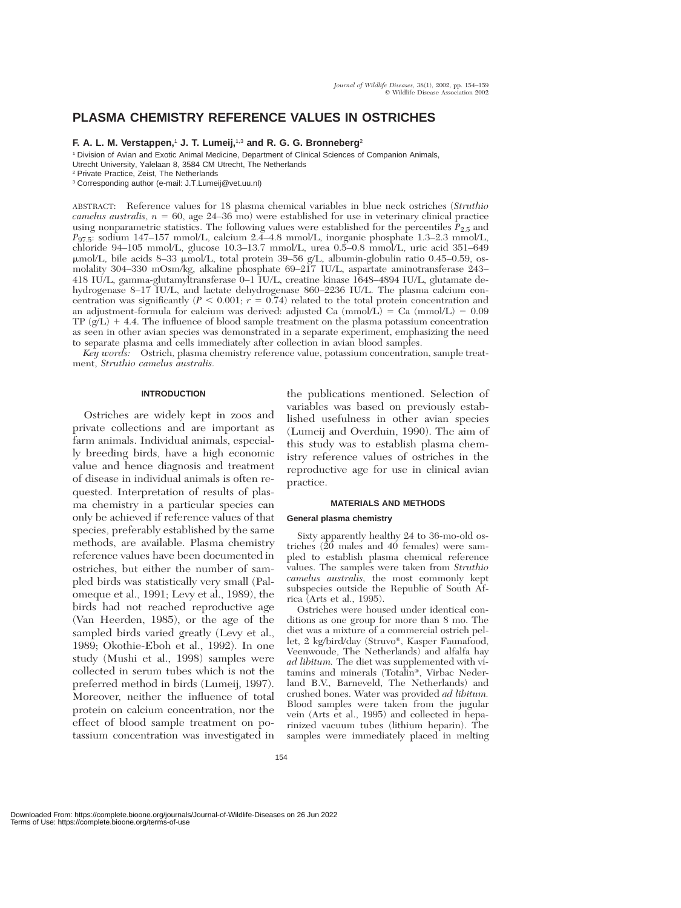# **PLASMA CHEMISTRY REFERENCE VALUES IN OSTRICHES**

# **F. A. L. M. Verstappen,**<sup>1</sup> **J. T. Lumeij,**1,3 **and R. G. G. Bronneberg**<sup>2</sup>

<sup>1</sup> Division of Avian and Exotic Animal Medicine, Department of Clinical Sciences of Companion Animals, Utrecht University, Yalelaan 8, 3584 CM Utrecht, The Netherlands

ABSTRACT: Reference values for 18 plasma chemical variables in blue neck ostriches (*Struthio*  $camelus$  australis,  $n = 60$ , age  $24-36$  mo) were established for use in veterinary clinical practice using nonparametric statistics. The following values were established for the percentiles  $P_{2.5}$  and *P*97.5: sodium 147–157 mmol/L, calcium 2.4–4.8 mmol/L, inorganic phosphate 1.3–2.3 mmol/L, chloride 94–105 mmol/L, glucose 10.3–13.7 mmol/L, urea 0.5–0.8 mmol/L, uric acid 351–649 μmol/L, bile acids 8–33 μmol/L, total protein 39–56 g/L, albumin-globulin ratio 0.45–0.59, osmolality 304–330 mOsm/kg, alkaline phosphate 69–217 IU/L, aspartate aminotransferase 243– 418 IU/L, gamma-glutamyltransferase 0–1 IU/L, creatine kinase 1648–4894 IU/L, glutamate dehydrogenase 8–17 IU/L, and lactate dehydrogenase 860–2236 IU/L. The plasma calcium concentration was significantly  $(P < 0.001; r = 0.74)$  related to the total protein concentration and an adjustment-formula for calcium was derived: adjusted Ca  $(mmol/L) = Ca (mmol/L) - 0.09$ TP  $(g/L)$  + 4.4. The influence of blood sample treatment on the plasma potassium concentration as seen in other avian species was demonstrated in a separate experiment, emphasizing the need to separate plasma and cells immediately after collection in avian blood samples.

*Key words:* Ostrich, plasma chemistry reference value, potassium concentration, sample treatment, *Struthio camelus australis.*

# **INTRODUCTION**

Ostriches are widely kept in zoos and private collections and are important as farm animals. Individual animals, especially breeding birds, have a high economic value and hence diagnosis and treatment of disease in individual animals is often requested. Interpretation of results of plasma chemistry in a particular species can only be achieved if reference values of that species, preferably established by the same methods, are available. Plasma chemistry reference values have been documented in ostriches, but either the number of sampled birds was statistically very small (Palomeque et al., 1991; Levy et al., 1989), the birds had not reached reproductive age (Van Heerden, 1985), or the age of the sampled birds varied greatly (Levy et al., 1989; Okothie-Eboh et al., 1992). In one study (Mushi et al., 1998) samples were collected in serum tubes which is not the preferred method in birds (Lumeij, 1997). Moreover, neither the influence of total protein on calcium concentration, nor the effect of blood sample treatment on potassium concentration was investigated in

the publications mentioned. Selection of variables was based on previously established usefulness in other avian species (Lumeij and Overduin, 1990). The aim of this study was to establish plasma chemistry reference values of ostriches in the reproductive age for use in clinical avian practice.

# **MATERIALS AND METHODS**

#### **General plasma chemistry**

Sixty apparently healthy 24 to 36-mo-old ostriches (20 males and 40 females) were sampled to establish plasma chemical reference values. The samples were taken from *Struthio camelus australis,* the most commonly kept subspecies outside the Republic of South Africa (Arts et al., 1995).

Ostriches were housed under identical conditions as one group for more than 8 mo. The diet was a mixture of a commercial ostrich pellet, 2 kg/bird/day (Struvo®, Kasper Faunafood, Veenwoude, The Netherlands) and alfalfa hay *ad libitum.* The diet was supplemented with vitamins and minerals (Totalin®, Virbac Nederland B.V., Barneveld, The Netherlands) and crushed bones. Water was provided *ad libitum.* Blood samples were taken from the jugular vein (Arts et al., 1995) and collected in heparinized vacuum tubes (lithium heparin). The samples were immediately placed in melting

<sup>2</sup> Private Practice, Zeist, The Netherlands

<sup>3</sup> Corresponding author (e-mail: J.T.Lumeij@vet.uu.nl)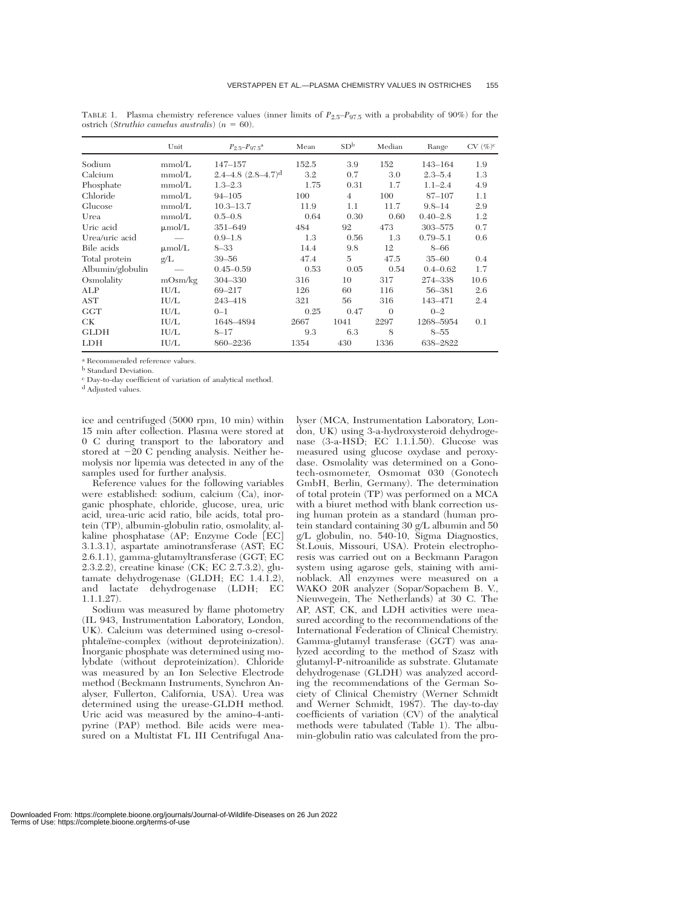|                  | Unit        | $P_{2.5} - P_{97.5}$ <sup>a</sup>      | Mean  | SD <sup>b</sup> | Median   | Range        | $CV (\%)^c$ |
|------------------|-------------|----------------------------------------|-------|-----------------|----------|--------------|-------------|
| Sodium           | mmol/L      | $147 - 157$                            | 152.5 | 3.9             | 152      | 143-164      | 1.9         |
| Calcium          | mmol/L      | $2.4 - 4.8$ $(2.8 - 4.7)$ <sup>d</sup> | 3.2   | 0.7             | 3.0      | $2.3 - 5.4$  | 1.3         |
| Phosphate        | mmol/L      | $1.3 - 2.3$                            | 1.75  | 0.31            | 1.7      | $1.1 - 2.4$  | 4.9         |
| Chloride         | mmol/L      | $94 - 105$                             | 100   | $\overline{4}$  | 100      | 87-107       | 1.1         |
| Glucose          | mmol/L      | $10.3 - 13.7$                          | 11.9  | 1.1             | 11.7     | $9.8 - 14$   | 2.9         |
| Urea             | mmol/L      | $0.5 - 0.8$                            | 0.64  | 0.30            | 0.60     | $0.40 - 2.8$ | 1.2         |
| Uric acid        | $\mu$ mol/L | 351-649                                | 484   | 92              | 473      | 303-575      | 0.7         |
| Urea/uric acid   |             | $0.9 - 1.8$                            | 1.3   | 0.56            | 1.3      | $0.79 - 5.1$ | 0.6         |
| Bile acids       | $\mu$ mol/L | $8 - 33$                               | 14.4  | 9.8             | 12       | $8 - 66$     |             |
| Total protein    | g/L         | $39 - 56$                              | 47.4  | 5               | 47.5     | $35 - 60$    | 0.4         |
| Albumin/globulin |             | $0.45 - 0.59$                          | 0.53  | 0.05            | 0.54     | $0.4 - 0.62$ | 1.7         |
| Osmolality       | mOsm/kg     | 304-330                                | 316   | 10              | 317      | 274-338      | 10.6        |
| ALP              | IU/L        | 69-217                                 | 126   | 60              | 116      | 56-381       | 2.6         |
| AST              | IU/L        | 243-418                                | 321   | 56              | 316      | 143-471      | 2.4         |
| <b>GGT</b>       | IU/L        | $0 - 1$                                | 0.25  | 0.47            | $\Omega$ | $0 - 2$      |             |
| CК               | IU/L        | 1648-4894                              | 2667  | 1041            | 2297     | 1268-5954    | 0.1         |
| <b>GLDH</b>      | IU/L        | $8 - 17$                               | 9.3   | 6.3             | 8        | $8 - 55$     |             |
| <b>LDH</b>       | IU/L        | 860-2236                               | 1354  | 430             | 1336     | 638-2822     |             |

TABLE 1. Plasma chemistry reference values (inner limits of *P*2.5–*P*97.5 with a probability of 90%) for the ostrich (*Struthio camelus australis*) ( $n = 60$ ).

<sup>a</sup> Recommended reference values.

**b** Standard Deviation.

<sup>c</sup> Day-to-day coefficient of variation of analytical method.

<sup>d</sup> Adjusted values.

ice and centrifuged (5000 rpm, 10 min) within 15 min after collection. Plasma were stored at 0 C during transport to the laboratory and stored at  $-20$  C pending analysis. Neither hemolysis nor lipemia was detected in any of the samples used for further analysis.

Reference values for the following variables were established: sodium, calcium (Ca), inorganic phosphate, chloride, glucose, urea, uric acid, urea-uric acid ratio, bile acids, total protein (TP), albumin-globulin ratio, osmolality, alkaline phosphatase (AP; Enzyme Code [EC] 3.1.3.1), aspartate aminotransferase (AST; EC 2.6.1.1), gamma-glutamyltransferase (GGT; EC 2.3.2.2), creatine kinase (CK; EC 2.7.3.2), glutamate dehydrogenase (GLDH; EC 1.4.1.2), and lactate dehydrogenase (LDH; EC 1.1.1.27).

Sodium was measured by flame photometry (IL 943, Instrumentation Laboratory, London, UK). Calcium was determined using o-cresolphtaleïne-complex (without deproteinization). Inorganic phosphate was determined using molybdate (without deproteinization). Chloride was measured by an Ion Selective Electrode method (Beckmann Instruments, Synchron Analyser, Fullerton, California, USA). Urea was determined using the urease-GLDH method. Uric acid was measured by the amino-4-antipyrine (PAP) method. Bile acids were measured on a Multistat FL III Centrifugal Ana-

lyser (MCA, Instrumentation Laboratory, London, UK) using 3-a-hydroxysteroid dehydrogenase (3-a-HSD; EC 1.1.1.50). Glucose was measured using glucose oxydase and peroxydase. Osmolality was determined on a Gonotech-osmometer, Osmomat 030 (Gonotech GmbH, Berlin, Germany). The determination of total protein (TP) was performed on a MCA with a biuret method with blank correction using human protein as a standard (human protein standard containing 30 g/L albumin and 50 g/L globulin, no. 540-10, Sigma Diagnostics, St.Louis, Missouri, USA). Protein electrophoresis was carried out on a Beckmann Paragon system using agarose gels, staining with aminoblack. All enzymes were measured on a WAKO 20R analyzer (Sopar/Sopachem B. V., Nieuwegein, The Netherlands) at 30 C. The AP, AST, CK, and LDH activities were measured according to the recommendations of the International Federation of Clinical Chemistry. Gamma-glutamyl transferase (GGT) was analyzed according to the method of Szasz with glutamyl-P-nitroanilide as substrate. Glutamate dehydrogenase (GLDH) was analyzed according the recommendations of the German Society of Clinical Chemistry (Werner Schmidt and Werner Schmidt, 1987). The day-to-day coefficients of variation (CV) of the analytical methods were tabulated (Table 1). The albumin-globulin ratio was calculated from the pro-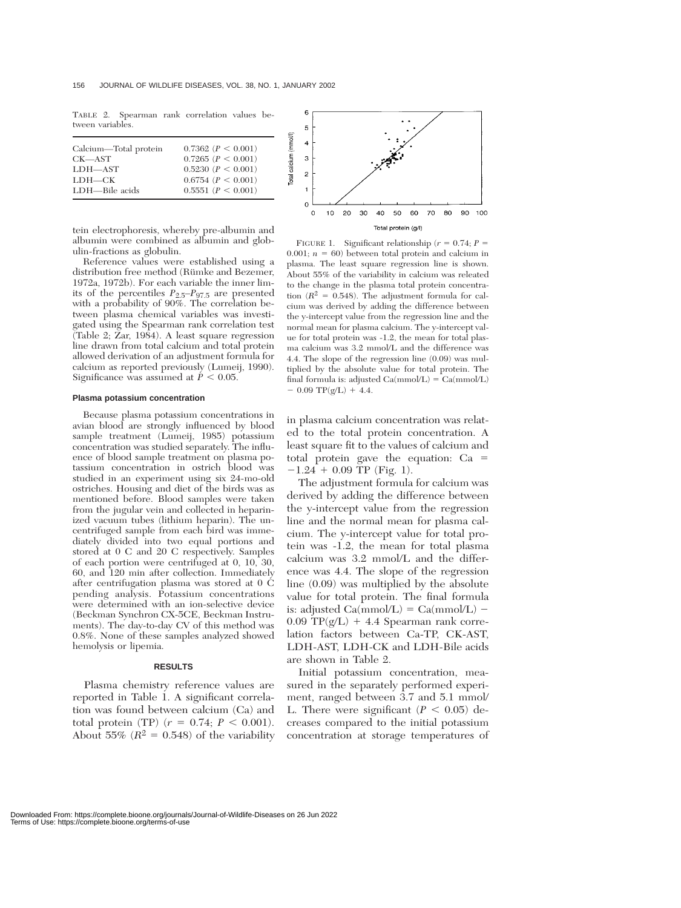TABLE 2. Spearman rank correlation values between variables.

| Calcium—Total protein | $0.7362$ $(P < 0.001)$   |
|-----------------------|--------------------------|
| CK—AST                | $0.7265$ $(P < 0.001)$   |
| LDH-AST               | $0.5230$ $(P < 0.001)$   |
| LDH—CK                | $0.6754$ ( $P < 0.001$ ) |
| LDH—Bile acids        | 0.5551 (P < 0.001)       |

tein electrophoresis, whereby pre-albumin and albumin were combined as albumin and globulin-fractions as globulin.

Reference values were established using a distribution free method (Rümke and Bezemer, 1972a, 1972b). For each variable the inner limits of the percentiles *P*2.5–*P*97.5 are presented with a probability of 90%. The correlation between plasma chemical variables was investigated using the Spearman rank correlation test  $(Table 2; Zar, 1984)$ . A least square regression line drawn from total calcium and total protein allowed derivation of an adjustment formula for calcium as reported previously (Lumeij, 1990). Significance was assumed at  $P < 0.05$ .

#### **Plasma potassium concentration**

Because plasma potassium concentrations in avian blood are strongly influenced by blood sample treatment (Lumeij, 1985) potassium concentration was studied separately. The influence of blood sample treatment on plasma potassium concentration in ostrich blood was studied in an experiment using six 24-mo-old ostriches. Housing and diet of the birds was as mentioned before. Blood samples were taken from the jugular vein and collected in heparinized vacuum tubes (lithium heparin). The uncentrifuged sample from each bird was immediately divided into two equal portions and stored at 0 C and 20 C respectively. Samples of each portion were centrifuged at 0, 10, 30, 60, and 120 min after collection. Immediately after centrifugation plasma was stored at 0 C pending analysis. Potassium concentrations were determined with an ion-selective device (Beckman Synchron CX-5CE, Beckman Instruments). The day-to-day CV of this method was 0.8%. None of these samples analyzed showed hemolysis or lipemia.

# **RESULTS**

Plasma chemistry reference values are reported in Table 1. A significant correlation was found between calcium (Ca) and total protein (TP)  $(r = 0.74; P < 0.001)$ . About 55%  $(R^2 = 0.548)$  of the variability



FIGURE 1. Significant relationship ( $r = 0.74$ ;  $P =$ 0.001;  $n = 60$ ) between total protein and calcium in plasma. The least square regression line is shown. About 55% of the variability in calcium was releated to the change in the plasma total protein concentration  $(R^2 = 0.548)$ . The adjustment formula for calcium was derived by adding the difference between the y-intercept value from the regression line and the normal mean for plasma calcium. The y-intercept value for total protein was -1.2, the mean for total plasma calcium was 3.2 mmol/L and the difference was 4.4. The slope of the regression line (0.09) was multiplied by the absolute value for total protein. The final formula is: adjusted  $Ca(mmol/L) = Ca(mmol/L)$  $-$  0.09 TP(g/L) + 4.4.

in plasma calcium concentration was related to the total protein concentration. A least square fit to the values of calcium and total protein gave the equation: Ca  $-1.24 + 0.09$  TP (Fig. 1).

The adjustment formula for calcium was derived by adding the difference between the y-intercept value from the regression line and the normal mean for plasma calcium. The y-intercept value for total protein was -1.2, the mean for total plasma calcium was 3.2 mmol/L and the difference was 4.4. The slope of the regression line (0.09) was multiplied by the absolute value for total protein. The final formula is: adjusted  $Ca(mmol/L) = Ca(mmol/L) 0.09$  TP( $g/L$ ) + 4.4 Spearman rank correlation factors between Ca-TP, CK-AST, LDH-AST, LDH-CK and LDH-Bile acids are shown in Table 2.

Initial potassium concentration, measured in the separately performed experiment, ranged between 3.7 and 5.1 mmol/ L. There were significant  $(P < 0.05)$  decreases compared to the initial potassium concentration at storage temperatures of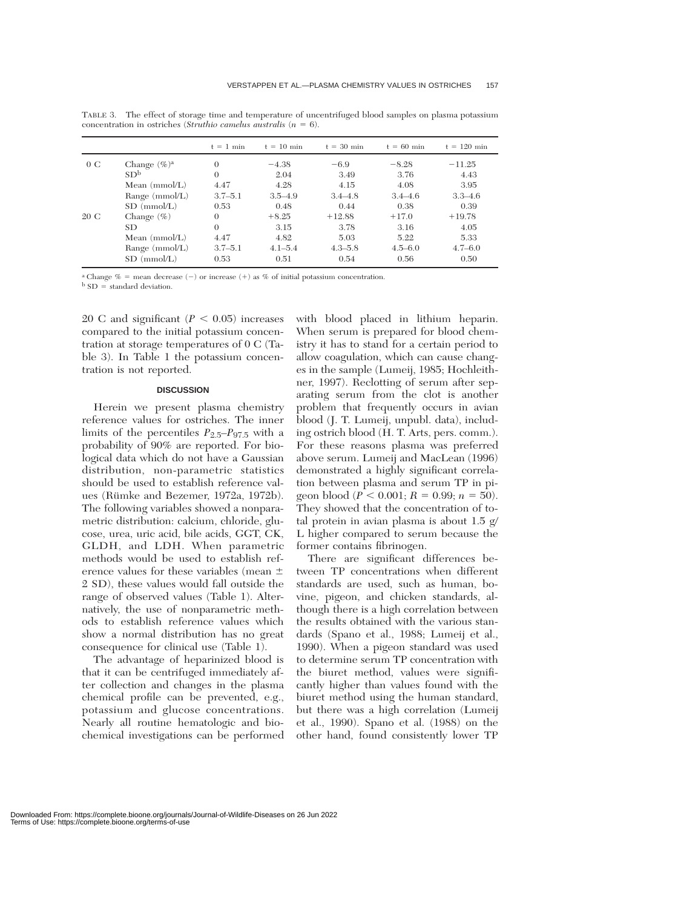|      |                 | $t = 1$ min | $t = 10$ min | $t = 30$ min | $t = 60$ min | $t = 120$ min |
|------|-----------------|-------------|--------------|--------------|--------------|---------------|
| 0C   | Change $(\%)^a$ | 0           | $-4.38$      | $-6.9$       | $-8.28$      | $-11.25$      |
|      | SD <sup>b</sup> | $\Omega$    | 2.04         | 3.49         | 3.76         | 4.43          |
|      | Mean $(mmol/L)$ | 4.47        | 4.28         | 4.15         | 4.08         | 3.95          |
|      | Range (mmol/L)  | $3.7 - 5.1$ | $3.5 - 4.9$  | $3.4 - 4.8$  | $3.4 - 4.6$  | $3.3 - 4.6$   |
|      | $SD \ (mmol/L)$ | 0.53        | 0.48         | 0.44         | 0.38         | 0.39          |
| 20 C | Change $(\% )$  | $\theta$    | $+8.25$      | $+12.88$     | $+17.0$      | $+19.78$      |
|      | <b>SD</b>       | $\theta$    | 3.15         | 3.78         | 3.16         | 4.05          |
|      | Mean $(mmol/L)$ | 4.47        | 4.82         | 5.03         | 5.22         | 5.33          |
|      | Range (mmol/L)  | $3.7 - 5.1$ | $4.1 - 5.4$  | $4.3 - 5.8$  | $4.5 - 6.0$  | $4.7 - 6.0$   |
|      | $SD \ (mmol/L)$ | 0.53        | 0.51         | 0.54         | 0.56         | 0.50          |

TABLE 3. The effect of storage time and temperature of uncentrifuged blood samples on plasma potassium concentration in ostriches (*Struthio camelus australis*  $(n = 6)$ ).

<sup>a</sup> Change  $% =$  mean decrease  $(-)$  or increase  $(+)$  as % of initial potassium concentration.

 $b$  SD = standard deviation.

20 C and significant  $(P < 0.05)$  increases compared to the initial potassium concentration at storage temperatures of 0 C (Table 3). In Table 1 the potassium concentration is not reported.

# **DISCUSSION**

Herein we present plasma chemistry reference values for ostriches. The inner limits of the percentiles  $P_{2.5}-P_{97.5}$  with a probability of 90% are reported. For biological data which do not have a Gaussian distribution, non-parametric statistics should be used to establish reference values (Rümke and Bezemer, 1972a, 1972b). The following variables showed a nonparametric distribution: calcium, chloride, glucose, urea, uric acid, bile acids, GGT, CK, GLDH, and LDH. When parametric methods would be used to establish reference values for these variables (mean 2 SD), these values would fall outside the range of observed values (Table 1). Alternatively, the use of nonparametric methods to establish reference values which show a normal distribution has no great consequence for clinical use (Table 1).

The advantage of heparinized blood is that it can be centrifuged immediately after collection and changes in the plasma chemical profile can be prevented, e.g., potassium and glucose concentrations. Nearly all routine hematologic and biochemical investigations can be performed with blood placed in lithium heparin. When serum is prepared for blood chemistry it has to stand for a certain period to allow coagulation, which can cause changes in the sample (Lumeij, 1985; Hochleithner, 1997). Reclotting of serum after separating serum from the clot is another problem that frequently occurs in avian blood (J. T. Lumeij, unpubl. data), including ostrich blood (H. T. Arts, pers. comm.). For these reasons plasma was preferred above serum. Lumeij and MacLean (1996) demonstrated a highly significant correlation between plasma and serum TP in pigeon blood ( $P < 0.001$ ;  $R = 0.99$ ;  $n = 50$ ). They showed that the concentration of total protein in avian plasma is about 1.5 g/ L higher compared to serum because the former contains fibrinogen.

There are significant differences between TP concentrations when different standards are used, such as human, bovine, pigeon, and chicken standards, although there is a high correlation between the results obtained with the various standards (Spano et al., 1988; Lumeij et al., 1990). When a pigeon standard was used to determine serum TP concentration with the biuret method, values were significantly higher than values found with the biuret method using the human standard, but there was a high correlation (Lumeij et al., 1990). Spano et al. (1988) on the other hand, found consistently lower TP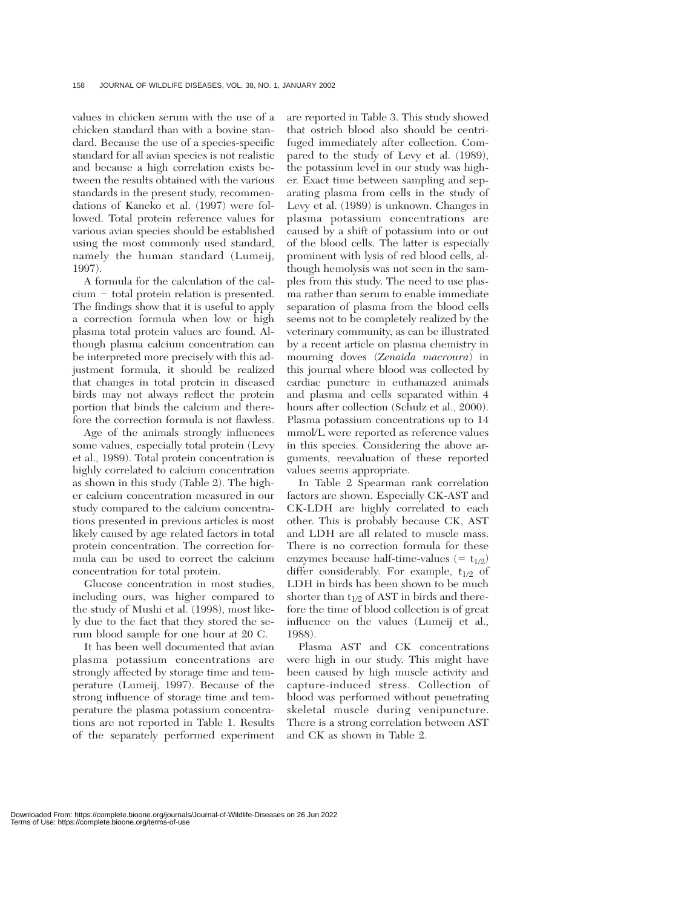values in chicken serum with the use of a chicken standard than with a bovine standard. Because the use of a species-specific standard for all avian species is not realistic and because a high correlation exists between the results obtained with the various standards in the present study, recommendations of Kaneko et al. (1997) were followed. Total protein reference values for various avian species should be established using the most commonly used standard, namely the human standard (Lumeij, 1997).

A formula for the calculation of the cal $cium - total protein relation is presented.$ The findings show that it is useful to apply a correction formula when low or high plasma total protein values are found. Although plasma calcium concentration can be interpreted more precisely with this adjustment formula, it should be realized that changes in total protein in diseased birds may not always reflect the protein portion that binds the calcium and therefore the correction formula is not flawless.

Age of the animals strongly influences some values, especially total protein (Levy et al., 1989). Total protein concentration is highly correlated to calcium concentration as shown in this study (Table 2). The higher calcium concentration measured in our study compared to the calcium concentrations presented in previous articles is most likely caused by age related factors in total protein concentration. The correction formula can be used to correct the calcium concentration for total protein.

Glucose concentration in most studies, including ours, was higher compared to the study of Mushi et al. (1998), most likely due to the fact that they stored the serum blood sample for one hour at 20 C.

It has been well documented that avian plasma potassium concentrations are strongly affected by storage time and temperature (Lumeij, 1997). Because of the strong influence of storage time and temperature the plasma potassium concentrations are not reported in Table 1. Results of the separately performed experiment

are reported in Table 3. This study showed that ostrich blood also should be centrifuged immediately after collection. Compared to the study of Levy et al. (1989), the potassium level in our study was higher. Exact time between sampling and separating plasma from cells in the study of Levy et al. (1989) is unknown. Changes in plasma potassium concentrations are caused by a shift of potassium into or out of the blood cells. The latter is especially prominent with lysis of red blood cells, although hemolysis was not seen in the samples from this study. The need to use plasma rather than serum to enable immediate separation of plasma from the blood cells seems not to be completely realized by the veterinary community, as can be illustrated by a recent article on plasma chemistry in mourning doves (*Zenaida macroura*) in this journal where blood was collected by cardiac puncture in euthanazed animals and plasma and cells separated within 4 hours after collection (Schulz et al., 2000). Plasma potassium concentrations up to 14 mmol/L were reported as reference values in this species. Considering the above arguments, reevaluation of these reported values seems appropriate.

In Table 2 Spearman rank correlation factors are shown. Especially CK-AST and CK-LDH are highly correlated to each other. This is probably because CK, AST and LDH are all related to muscle mass. There is no correction formula for these enzymes because half-time-values (=  $t_{1/2}$ ) differ considerably. For example,  $t_{1/2}$  of LDH in birds has been shown to be much shorter than  $t_{1/2}$  of AST in birds and therefore the time of blood collection is of great influence on the values (Lumeij et al., 1988).

Plasma AST and CK concentrations were high in our study. This might have been caused by high muscle activity and capture-induced stress. Collection of blood was performed without penetrating skeletal muscle during venipuncture. There is a strong correlation between AST and CK as shown in Table 2.